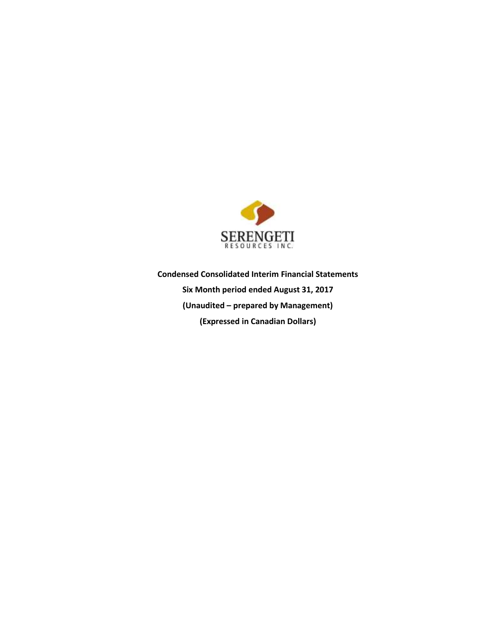

**Condensed Consolidated Interim Financial Statements Six Month period ended August 31, 2017 (Unaudited – prepared by Management) (Expressed in Canadian Dollars)**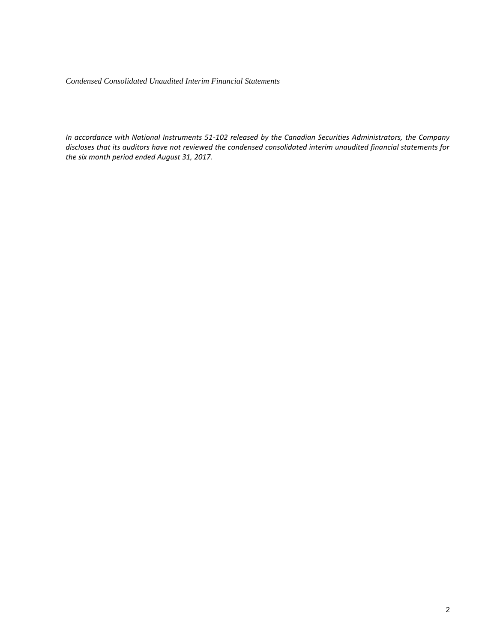*Condensed Consolidated Unaudited Interim Financial Statements* 

*In accordance with National Instruments 51-102 released by the Canadian Securities Administrators, the Company discloses that its auditors have not reviewed the condensed consolidated interim unaudited financial statements for the six month period ended August 31, 2017.*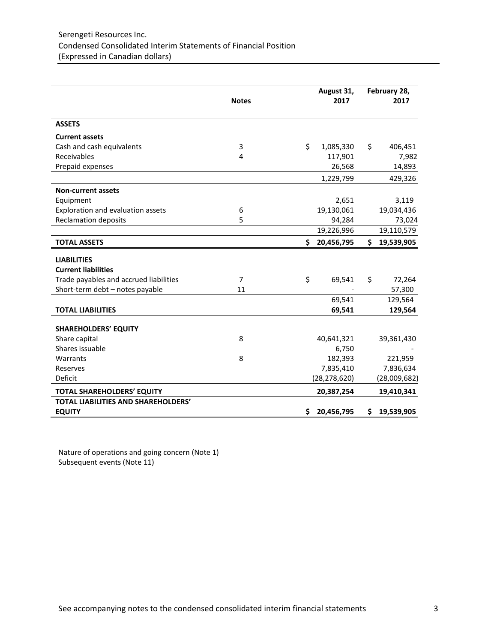|                                                             | <b>Notes</b>   |     | August 31,<br>2017  |     | February 28,<br>2017 |
|-------------------------------------------------------------|----------------|-----|---------------------|-----|----------------------|
| <b>ASSETS</b>                                               |                |     |                     |     |                      |
| <b>Current assets</b>                                       |                |     |                     |     |                      |
| Cash and cash equivalents                                   | 3              | \$  | 1,085,330           | \$  | 406,451              |
| Receivables                                                 | 4              |     | 117,901             |     | 7,982                |
| Prepaid expenses                                            |                |     | 26,568              |     | 14,893               |
|                                                             |                |     | 1,229,799           |     | 429,326              |
| <b>Non-current assets</b>                                   |                |     |                     |     |                      |
| Equipment                                                   |                |     | 2,651               |     | 3,119                |
| Exploration and evaluation assets                           | 6              |     | 19,130,061          |     | 19,034,436           |
| <b>Reclamation deposits</b>                                 | 5              |     | 94,284              |     | 73,024               |
|                                                             |                |     | 19,226,996          |     | 19,110,579           |
| <b>TOTAL ASSETS</b>                                         |                | \$. | 20,456,795          | \$. | 19,539,905           |
| <b>LIABILITIES</b>                                          |                |     |                     |     |                      |
| <b>Current liabilities</b>                                  |                |     |                     |     |                      |
| Trade payables and accrued liabilities                      | $\overline{7}$ | \$  | 69,541              | \$  | 72,264               |
| Short-term debt - notes payable                             | 11             |     |                     |     | 57,300               |
|                                                             |                |     | 69,541              |     | 129,564              |
| <b>TOTAL LIABILITIES</b>                                    |                |     | 69,541              |     | 129,564              |
|                                                             |                |     |                     |     |                      |
| <b>SHAREHOLDERS' EQUITY</b>                                 | 8              |     |                     |     |                      |
| Share capital<br>Shares issuable                            |                |     | 40,641,321<br>6,750 |     | 39,361,430           |
| Warrants                                                    | 8              |     | 182,393             |     | 221,959              |
| Reserves                                                    |                |     | 7,835,410           |     | 7,836,634            |
| Deficit                                                     |                |     | (28, 278, 620)      |     | (28,009,682)         |
|                                                             |                |     |                     |     |                      |
| <b>TOTAL SHAREHOLDERS' EQUITY</b>                           |                |     | 20,387,254          |     | 19,410,341           |
| <b>TOTAL LIABILITIES AND SHAREHOLDERS'</b><br><b>EQUITY</b> |                | \$  | 20,456,795          | \$  | 19,539,905           |

Nature of operations and going concern (Note 1) Subsequent events (Note 11)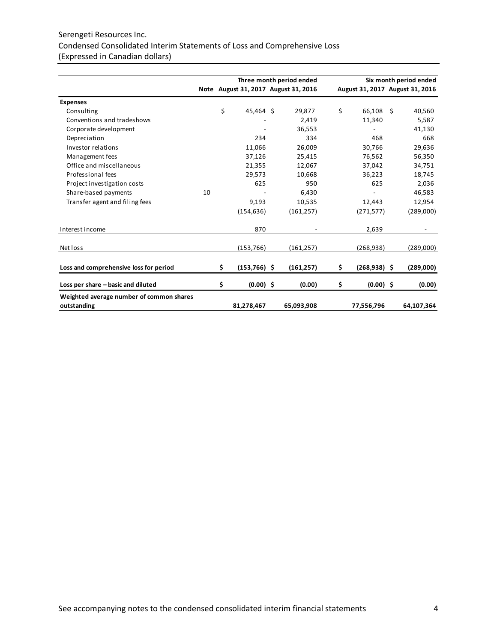# Serengeti Resources Inc. Condensed Consolidated Interim Statements of Loss and Comprehensive Loss (Expressed in Canadian dollars)

|                                                         |    |     |                | Three month period ended             |                       |    | Six month period ended          |
|---------------------------------------------------------|----|-----|----------------|--------------------------------------|-----------------------|----|---------------------------------|
|                                                         |    |     |                | Note August 31, 2017 August 31, 2016 |                       |    | August 31, 2017 August 31, 2016 |
| <b>Expenses</b>                                         |    |     |                |                                      |                       |    |                                 |
| Consulting                                              |    | \$  | 45,464 \$      | 29,877                               | \$<br>66,108          | Ŝ. | 40,560                          |
| Conventions and tradeshows                              |    |     |                | 2,419                                | 11,340                |    | 5,587                           |
| Corporate development                                   |    |     |                | 36,553                               |                       |    | 41,130                          |
| Depreciation                                            |    |     | 234            | 334                                  | 468                   |    | 668                             |
| Investor relations                                      |    |     | 11,066         | 26,009                               | 30,766                |    | 29,636                          |
| Management fees                                         |    |     | 37,126         | 25,415                               | 76,562                |    | 56,350                          |
| Office and miscellaneous                                |    |     | 21,355         | 12,067                               | 37,042                |    | 34,751                          |
| Professional fees                                       |    |     | 29,573         | 10,668                               | 36,223                |    | 18,745                          |
| Project investigation costs                             |    |     | 625            | 950                                  | 625                   |    | 2,036                           |
| Share-based payments                                    | 10 |     |                | 6,430                                |                       |    | 46,583                          |
| Transfer agent and filing fees                          |    |     | 9,193          | 10,535                               | 12,443                |    | 12,954                          |
|                                                         |    |     | (154, 636)     | (161, 257)                           | (271, 577)            |    | (289,000)                       |
| Interest income                                         |    |     | 870            |                                      | 2,639                 |    |                                 |
| Net loss                                                |    |     | (153, 766)     | (161, 257)                           | (268, 938)            |    | (289,000)                       |
|                                                         |    |     |                |                                      |                       |    |                                 |
| Loss and comprehensive loss for period                  |    | \$. | $(153,766)$ \$ | (161, 257)                           | \$<br>$(268, 938)$ \$ |    | (289,000)                       |
| Loss per share - basic and diluted                      |    | \$  | $(0.00)$ \$    | (0.00)                               | \$<br>$(0.00)$ \$     |    | (0.00)                          |
| Weighted average number of common shares<br>outstanding |    |     | 81,278,467     | 65,093,908                           | 77,556,796            |    | 64,107,364                      |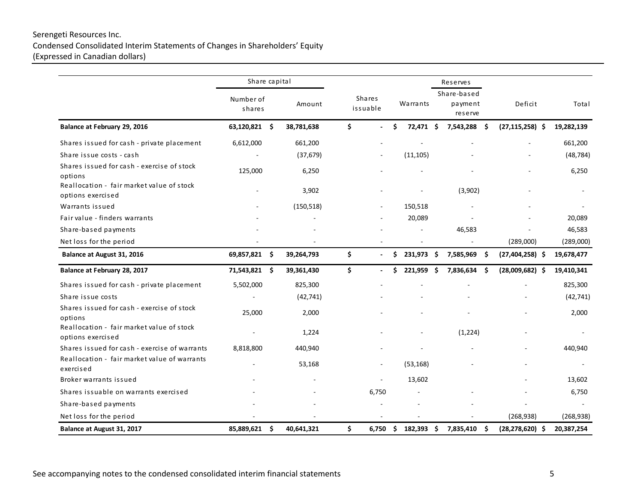# Serengeti Resources Inc. Condensed Consolidated Interim Statements of Changes in Shareholders' Equity (Expressed in Canadian dollars)

|                                                                | Share capital            |                  |                           |                |    |            |  | Reserves                          |      |                     |            |
|----------------------------------------------------------------|--------------------------|------------------|---------------------------|----------------|----|------------|--|-----------------------------------|------|---------------------|------------|
|                                                                | Number of<br>shares      | Amount           | <b>Shares</b><br>issuable |                |    | Warrants   |  | Share-based<br>payment<br>reserve |      | Deficit             | Total      |
| Balance at February 29, 2016                                   | 63,120,821 \$            | 38,781,638       | \$                        |                | \$ | 72,471 \$  |  | 7,543,288 \$                      |      | $(27, 115, 258)$ \$ | 19,282,139 |
| Shares issued for cash - private placement                     | 6,612,000                | 661,200          |                           |                |    |            |  |                                   |      |                     | 661,200    |
| Share issue costs - cash                                       |                          | (37, 679)        |                           |                |    | (11, 105)  |  |                                   |      |                     | (48, 784)  |
| Shares issued for cash - exercise of stock<br>options          | 125,000                  | 6,250            |                           |                |    |            |  |                                   |      |                     | 6,250      |
| Reallocation - fair market value of stock<br>options exercised | ä,                       | 3,902            |                           |                |    |            |  | (3,902)                           |      |                     |            |
| Warrants issued                                                |                          | (150, 518)       |                           |                |    | 150,518    |  |                                   |      |                     |            |
| Fair value - finders warrants                                  |                          |                  |                           |                |    | 20,089     |  |                                   |      |                     | 20,089     |
| Share-based payments                                           |                          |                  |                           |                |    |            |  | 46,583                            |      |                     | 46,583     |
| Net loss for the period                                        |                          |                  |                           |                |    |            |  |                                   |      | (289,000)           | (289,000)  |
| Balance at August 31, 2016                                     | 69,857,821 \$            | 39,264,793       | \$                        | $\blacksquare$ | \$ | 231,973 \$ |  | 7,585,969                         | - \$ | $(27, 404, 258)$ \$ | 19,678,477 |
| Balance at February 28, 2017                                   | 71,543,821 \$            | 39,361,430       | \$                        | $\blacksquare$ | Ś. | 221,959 \$ |  | 7,836,634                         | Ŝ.   | $(28,009,682)$ \$   | 19,410,341 |
| Shares issued for cash - private placement                     | 5,502,000                | 825,300          |                           |                |    |            |  |                                   |      |                     | 825,300    |
| Share issue costs                                              |                          | (42, 741)        |                           |                |    |            |  |                                   |      |                     | (42, 741)  |
| Shares issued for cash - exercise of stock<br>options          | 25,000                   | 2,000            |                           |                |    |            |  |                                   |      |                     | 2,000      |
| Reallocation - fair market value of stock<br>options exercised | $\overline{\phantom{a}}$ | 1,224            |                           |                |    |            |  | (1, 224)                          |      |                     |            |
| Shares issued for cash - exercise of warrants                  | 8,818,800                | 440,940          |                           |                |    |            |  |                                   |      |                     | 440,940    |
| Reallocation - fair market value of warrants<br>exercised      |                          | 53,168           |                           |                |    | (53, 168)  |  |                                   |      |                     |            |
| Broker warrants issued                                         |                          |                  |                           | ÷.             |    | 13,602     |  |                                   |      |                     | 13,602     |
| Shares issuable on warrants exercised                          |                          |                  |                           | 6,750          |    |            |  |                                   |      |                     | 6,750      |
| Share-based payments                                           |                          |                  |                           |                |    |            |  |                                   |      | ÷,                  |            |
| Net loss for the period                                        |                          |                  |                           |                |    |            |  |                                   |      | (268, 938)          | (268, 938) |
| Balance at August 31, 2017                                     | 85,889,621               | \$<br>40,641,321 | \$                        | 6,750          | \$ | 182,393 \$ |  | 7,835,410                         | \$   | $(28, 278, 620)$ \$ | 20,387,254 |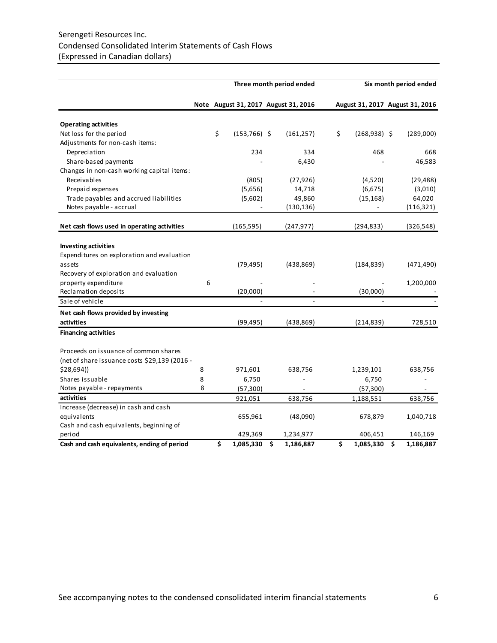# Serengeti Resources Inc. Condensed Consolidated Interim Statements of Cash Flows (Expressed in Canadian dollars)

|                                               |   |                       | Three month period ended             |                                 | Six month period ended |
|-----------------------------------------------|---|-----------------------|--------------------------------------|---------------------------------|------------------------|
|                                               |   |                       | Note August 31, 2017 August 31, 2016 | August 31, 2017 August 31, 2016 |                        |
| <b>Operating activities</b>                   |   |                       |                                      |                                 |                        |
| Net loss for the period                       |   | \$<br>$(153, 766)$ \$ | (161, 257)                           | \$<br>$(268,938)$ \$            | (289,000)              |
| Adjustments for non-cash items:               |   |                       |                                      |                                 |                        |
| Depreciation                                  |   | 234                   | 334                                  | 468                             | 668                    |
| Share-based payments                          |   |                       | 6,430                                |                                 | 46,583                 |
| Changes in non-cash working capital items:    |   |                       |                                      |                                 |                        |
| Receivables                                   |   | (805)                 | (27, 926)                            | (4,520)                         | (29, 488)              |
| Prepaid expenses                              |   | (5,656)               | 14,718                               | (6, 675)                        | (3,010)                |
| Trade payables and accrued liabilities        |   | (5,602)               | 49,860                               | (15, 168)                       | 64,020                 |
| Notes payable - accrual                       |   |                       | (130, 136)                           | $\overline{\phantom{a}}$        | (116, 321)             |
| Net cash flows used in operating activities   |   | (165, 595)            | (247, 977)                           | (294, 833)                      | (326, 548)             |
|                                               |   |                       |                                      |                                 |                        |
| <b>Investing activities</b>                   |   |                       |                                      |                                 |                        |
| Expenditures on exploration and evaluation    |   |                       |                                      |                                 |                        |
| assets                                        |   | (79, 495)             | (438, 869)                           | (184, 839)                      | (471, 490)             |
| Recovery of exploration and evaluation        |   |                       |                                      |                                 |                        |
| property expenditure                          | 6 |                       |                                      |                                 | 1,200,000              |
| Reclamation deposits                          |   | (20,000)              |                                      | (30,000)                        |                        |
| Sale of vehicle                               |   |                       |                                      |                                 |                        |
| Net cash flows provided by investing          |   |                       |                                      |                                 |                        |
| activities                                    |   | (99, 495)             | (438, 869)                           | (214, 839)                      | 728,510                |
| <b>Financing activities</b>                   |   |                       |                                      |                                 |                        |
| Proceeds on issuance of common shares         |   |                       |                                      |                                 |                        |
| (net of share issuance costs \$29,139 (2016 - |   |                       |                                      |                                 |                        |
| \$28,694)                                     | 8 | 971,601               | 638,756                              | 1,239,101                       | 638,756                |
| Shares issuable                               | 8 | 6,750                 |                                      | 6,750                           |                        |
| Notes payable - repayments                    | 8 | (57, 300)             |                                      | (57, 300)                       |                        |
| activities                                    |   | 921,051               | 638,756                              | 1,188,551                       | 638,756                |
| Increase (decrease) in cash and cash          |   |                       |                                      |                                 |                        |
| equivalents                                   |   | 655,961               | (48,090)                             | 678,879                         | 1,040,718              |
| Cash and cash equivalents, beginning of       |   |                       |                                      |                                 |                        |
| period                                        |   | 429,369               | 1,234,977                            | 406,451                         | 146,169                |
| Cash and cash equivalents, ending of period   |   | \$<br>1,085,330       | \$<br>1,186,887                      | \$<br>1,085,330                 | \$<br>1,186,887        |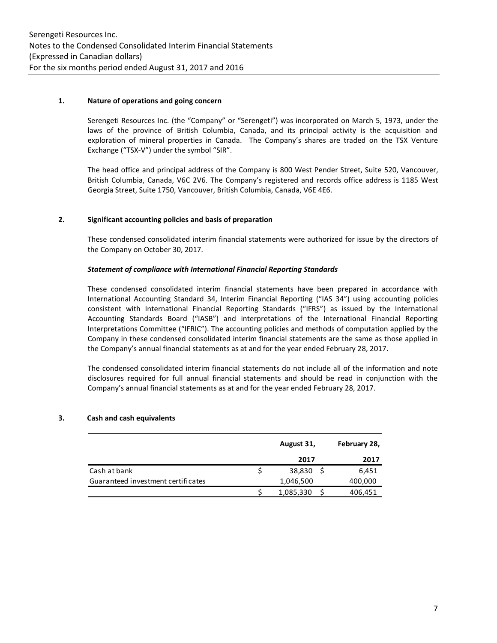# **1. Nature of operations and going concern**

Serengeti Resources Inc. (the "Company" or "Serengeti") was incorporated on March 5, 1973, under the laws of the province of British Columbia, Canada, and its principal activity is the acquisition and exploration of mineral properties in Canada. The Company's shares are traded on the TSX Venture Exchange ("TSX-V") under the symbol "SIR".

The head office and principal address of the Company is 800 West Pender Street, Suite 520, Vancouver, British Columbia, Canada, V6C 2V6. The Company's registered and records office address is 1185 West Georgia Street, Suite 1750, Vancouver, British Columbia, Canada, V6E 4E6.

# **2. Significant accounting policies and basis of preparation**

These condensed consolidated interim financial statements were authorized for issue by the directors of the Company on October 30, 2017.

# *Statement of compliance with International Financial Reporting Standards*

These condensed consolidated interim financial statements have been prepared in accordance with International Accounting Standard 34, Interim Financial Reporting ("IAS 34") using accounting policies consistent with International Financial Reporting Standards ("IFRS") as issued by the International Accounting Standards Board ("IASB") and interpretations of the International Financial Reporting Interpretations Committee ("IFRIC"). The accounting policies and methods of computation applied by the Company in these condensed consolidated interim financial statements are the same as those applied in the Company's annual financial statements as at and for the year ended February 28, 2017.

The condensed consolidated interim financial statements do not include all of the information and note disclosures required for full annual financial statements and should be read in conjunction with the Company's annual financial statements as at and for the year ended February 28, 2017.

# **3. Cash and cash equivalents**

|                                    | August 31, | February 28, |
|------------------------------------|------------|--------------|
|                                    | 2017       | 2017         |
| Cash at bank                       | 38,830     | 6,451        |
| Guaranteed investment certificates | 1,046,500  | 400,000      |
|                                    | 1,085,330  | 406,451      |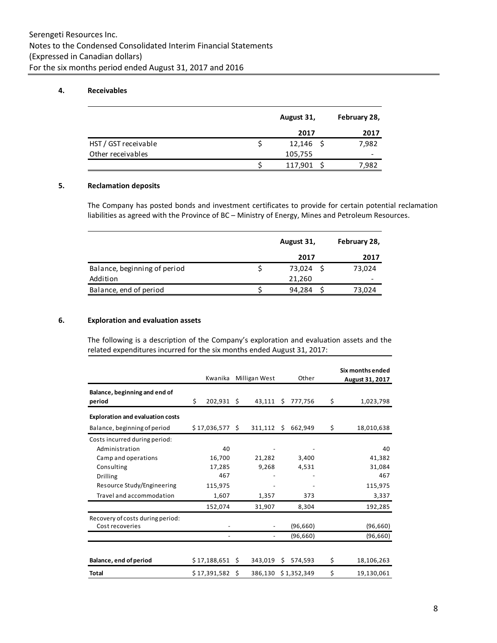# **4. Receivables**

|                      | August 31,  | February 28, |
|----------------------|-------------|--------------|
|                      | 2017        | 2017         |
| HST / GST receivable | $12,146$ \$ | 7,982        |
| Other receivables    | 105,755     |              |
|                      | 117,901     | 7,982        |

# **5. Reclamation deposits**

The Company has posted bonds and investment certificates to provide for certain potential reclamation liabilities as agreed with the Province of BC – Ministry of Energy, Mines and Petroleum Resources.

|                              | August 31, | February 28, |
|------------------------------|------------|--------------|
|                              | 2017       | 2017         |
| Balance, beginning of period | 73,024     | 73,024       |
| Addition                     | 21.260     |              |
| Balance, end of period       | 94,284     | 73,024       |

### **6. Exploration and evaluation assets**

The following is a description of the Company's exploration and evaluation assets and the related expenditures incurred for the six months ended August 31, 2017:

|                                                                                                                                                            | Kwanika                                                |    | Milligan West                      |     | Other                          |          | Six months ended<br>August 31, 2017                          |
|------------------------------------------------------------------------------------------------------------------------------------------------------------|--------------------------------------------------------|----|------------------------------------|-----|--------------------------------|----------|--------------------------------------------------------------|
| Balance, beginning and end of<br>period                                                                                                                    | Ś.<br>$202,931$ \$                                     |    | $43,111$ \$                        |     | 777,756                        | \$       | 1,023,798                                                    |
| <b>Exploration and evaluation costs</b>                                                                                                                    |                                                        |    |                                    |     |                                |          |                                                              |
| Balance, beginning of period                                                                                                                               | $$17,036,577$ \$                                       |    | 311,112                            | \$. | 662,949                        | \$       | 18,010,638                                                   |
| Costs incurred during period:<br>Administration<br>Camp and operations<br>Consulting<br>Drilling<br>Resource Study/Engineering<br>Travel and accommodation | 16,700<br>17,285<br>467<br>115,975<br>1,607<br>152,074 | 40 | 21,282<br>9,268<br>1,357<br>31,907 |     | 3,400<br>4,531<br>373<br>8,304 |          | 40<br>41,382<br>31,084<br>467<br>115,975<br>3,337<br>192,285 |
| Recovery of costs during period:<br>Cost recoveries                                                                                                        |                                                        |    |                                    |     | (96, 660)<br>(96, 660)         |          | (96, 660)<br>(96, 660)                                       |
| Balance, end of period<br>Total                                                                                                                            | $$17,188,651$ \$<br>\$17,391,582                       |    | 343,019<br>Ŝ.<br>386,130           | \$  | 574,593<br>\$1,352,349         | \$<br>\$ | 18,106,263<br>19,130,061                                     |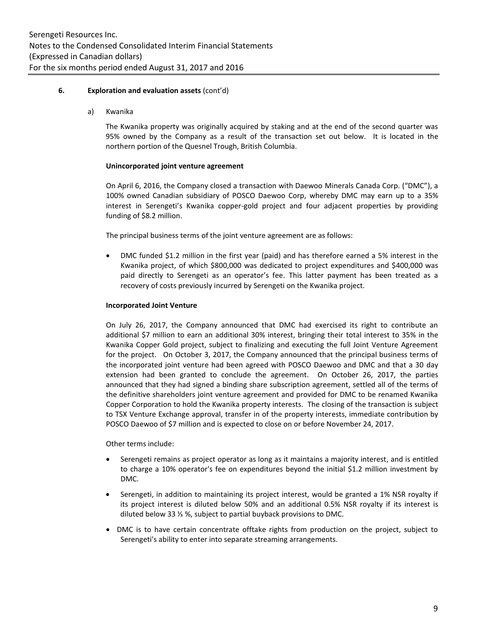### **6. Exploration and evaluation assets** (cont'd)

a) Kwanika

The Kwanika property was originally acquired by staking and at the end of the second quarter was 95% owned by the Company as a result of the transaction set out below. It is located in the northern portion of the Quesnel Trough, British Columbia.

#### **Unincorporated joint venture agreement**

On April 6, 2016, the Company closed a transaction with Daewoo Minerals Canada Corp. ("DMC"), a 100% owned Canadian subsidiary of POSCO Daewoo Corp, whereby DMC may earn up to a 35% interest in Serengeti's Kwanika copper-gold project and four adjacent properties by providing funding of \$8.2 million.

The principal business terms of the joint venture agreement are as follows:

 DMC funded \$1.2 million in the first year (paid) and has therefore earned a 5% interest in the Kwanika project, of which \$800,000 was dedicated to project expenditures and \$400,000 was paid directly to Serengeti as an operator's fee. This latter payment has been treated as a recovery of costs previously incurred by Serengeti on the Kwanika project.

#### **Incorporated Joint Venture**

On July 26, 2017, the Company announced that DMC had exercised its right to contribute an additional \$7 million to earn an additional 30% interest, bringing their total interest to 35% in the Kwanika Copper Gold project, subject to finalizing and executing the full Joint Venture Agreement for the project. On October 3, 2017, the Company announced that the principal business terms of the incorporated joint venture had been agreed with POSCO Daewoo and DMC and that a 30 day extension had been granted to conclude the agreement. On October 26, 2017, the parties announced that they had signed a binding share subscription agreement, settled all of the terms of the definitive shareholders joint venture agreement and provided for DMC to be renamed Kwanika Copper Corporation to hold the Kwanika property interests. The closing of the transaction is subject to TSX Venture Exchange approval, transfer in of the property interests, immediate contribution by POSCO Daewoo of \$7 million and is expected to close on or before November 24, 2017.

Other terms include:

- Serengeti remains as project operator as long as it maintains a majority interest, and is entitled to charge a 10% operator's fee on expenditures beyond the initial \$1.2 million investment by DMC.
- Serengeti, in addition to maintaining its project interest, would be granted a 1% NSR royalty if its project interest is diluted below 50% and an additional 0.5% NSR royalty if its interest is diluted below 33 ⅓ %, subject to partial buyback provisions to DMC.
- DMC is to have certain concentrate offtake rights from production on the project, subject to Serengeti's ability to enter into separate streaming arrangements.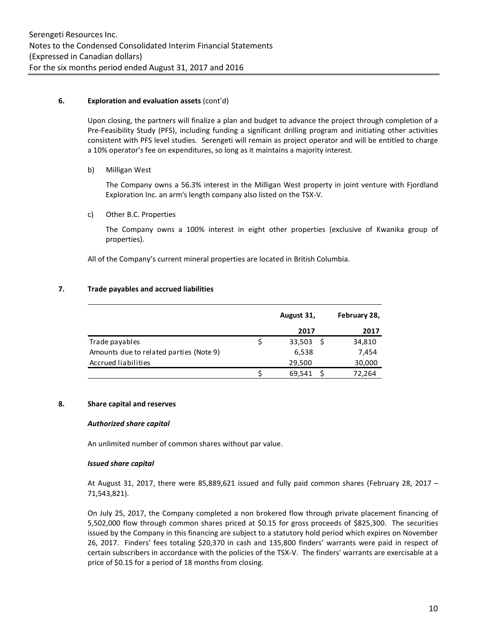# **6. Exploration and evaluation assets** (cont'd)

Upon closing, the partners will finalize a plan and budget to advance the project through completion of a Pre-Feasibility Study (PFS), including funding a significant drilling program and initiating other activities consistent with PFS level studies. Serengeti will remain as project operator and will be entitled to charge a 10% operator's fee on expenditures, so long as it maintains a majority interest.

# b) Milligan West

The Company owns a 56.3% interest in the Milligan West property in joint venture with Fjordland Exploration Inc. an arm's length company also listed on the TSX-V.

# c) Other B.C. Properties

The Company owns a 100% interest in eight other properties (exclusive of Kwanika group of properties).

All of the Company's current mineral properties are located in British Columbia.

# **7. Trade payables and accrued liabilities**

|                                         | August 31, | February 28, |
|-----------------------------------------|------------|--------------|
|                                         | 2017       | 2017         |
| Trade payables                          | 33,503     | 34,810       |
| Amounts due to related parties (Note 9) | 6,538      | 7,454        |
| Accrued liabilities                     | 29,500     | 30,000       |
|                                         | 69,541     | 72,264       |

# **8. Share capital and reserves**

# *Authorized share capital*

An unlimited number of common shares without par value.

# *Issued share capital*

At August 31, 2017, there were 85,889,621 issued and fully paid common shares (February 28, 2017 – 71,543,821).

On July 25, 2017, the Company completed a non brokered flow through private placement financing of 5,502,000 flow through common shares priced at \$0.15 for gross proceeds of \$825,300. The securities issued by the Company in this financing are subject to a statutory hold period which expires on November 26, 2017. Finders' fees totaling \$20,370 in cash and 135,800 finders' warrants were paid in respect of certain subscribers in accordance with the policies of the TSX-V. The finders' warrants are exercisable at a price of \$0.15 for a period of 18 months from closing.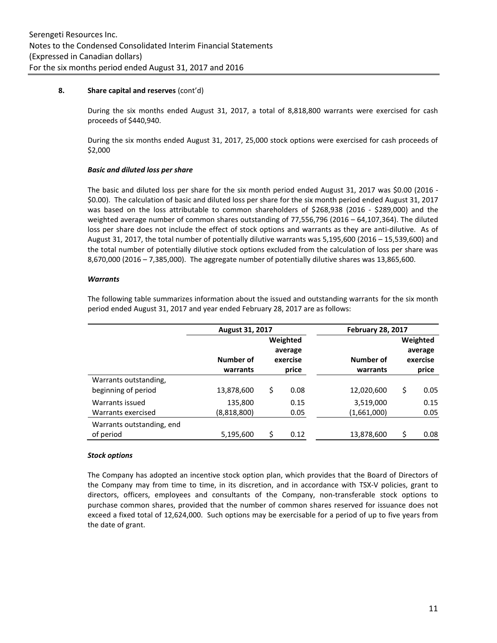#### **8. Share capital and reserves** (cont'd)

During the six months ended August 31, 2017, a total of 8,818,800 warrants were exercised for cash proceeds of \$440,940.

During the six months ended August 31, 2017, 25,000 stock options were exercised for cash proceeds of \$2,000

# *Basic and diluted loss per share*

The basic and diluted loss per share for the six month period ended August 31, 2017 was \$0.00 (2016 - \$0.00). The calculation of basic and diluted loss per share for the six month period ended August 31, 2017 was based on the loss attributable to common shareholders of \$268,938 (2016 - \$289,000) and the weighted average number of common shares outstanding of 77,556,796 (2016 – 64,107,364). The diluted loss per share does not include the effect of stock options and warrants as they are anti-dilutive. As of August 31, 2017, the total number of potentially dilutive warrants was 5,195,600 (2016 – 15,539,600) and the total number of potentially dilutive stock options excluded from the calculation of loss per share was 8,670,000 (2016 – 7,385,000). The aggregate number of potentially dilutive shares was 13,865,600.

#### *Warrants*

The following table summarizes information about the issued and outstanding warrants for the six month period ended August 31, 2017 and year ended February 28, 2017 are as follows:

|                           | August 31, 2017 |          |          | <b>February 28, 2017</b> |    |          |
|---------------------------|-----------------|----------|----------|--------------------------|----|----------|
|                           |                 | Weighted |          |                          |    | Weighted |
|                           |                 |          | average  |                          |    | average  |
|                           | Number of       |          | exercise | Number of                |    | exercise |
|                           | warrants        |          | price    | warrants                 |    | price    |
| Warrants outstanding,     |                 |          |          |                          |    |          |
| beginning of period       | 13,878,600      | \$       | 0.08     | 12,020,600               | \$ | 0.05     |
| Warrants issued           | 135,800         |          | 0.15     | 3,519,000                |    | 0.15     |
| Warrants exercised        | (8,818,800)     |          | 0.05     | (1,661,000)              |    | 0.05     |
| Warrants outstanding, end |                 |          |          |                          |    |          |
| of period                 | 5,195,600       | Ś        | 0.12     | 13,878,600               | Ś  | 0.08     |

#### *Stock options*

The Company has adopted an incentive stock option plan, which provides that the Board of Directors of the Company may from time to time, in its discretion, and in accordance with TSX-V policies, grant to directors, officers, employees and consultants of the Company, non-transferable stock options to purchase common shares, provided that the number of common shares reserved for issuance does not exceed a fixed total of 12,624,000. Such options may be exercisable for a period of up to five years from the date of grant.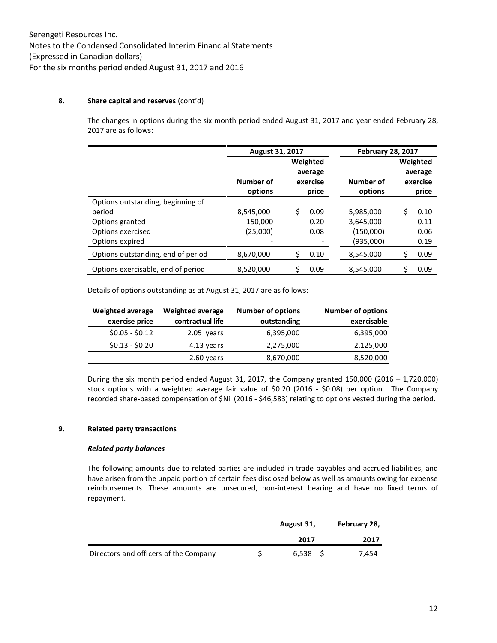# **8. Share capital and reserves** (cont'd)

The changes in options during the six month period ended August 31, 2017 and year ended February 28, 2017 are as follows:

|                                    | <b>August 31, 2017</b>                       |           | <b>February 28, 2017</b> |    |                                 |
|------------------------------------|----------------------------------------------|-----------|--------------------------|----|---------------------------------|
|                                    | Weighted<br>average<br>Number of<br>exercise |           | Number of                |    | Weighted<br>average<br>exercise |
|                                    | options                                      | price     | options                  |    | price                           |
| Options outstanding, beginning of  |                                              |           |                          |    |                                 |
| period                             | 8,545,000                                    | Ś<br>0.09 | 5,985,000                | Ś  | 0.10                            |
| Options granted                    | 150,000                                      | 0.20      | 3,645,000                |    | 0.11                            |
| Options exercised                  | (25,000)                                     | 0.08      | (150,000)                |    | 0.06                            |
| Options expired                    |                                              |           | (935,000)                |    | 0.19                            |
| Options outstanding, end of period | 8,670,000                                    | Ś<br>0.10 | 8,545,000                | \$ | 0.09                            |
| Options exercisable, end of period | 8.520.000                                    | Ś<br>0.09 | 8,545,000                | Ś  | 0.09                            |

Details of options outstanding as at August 31, 2017 are as follows:

| <b>Weighted average</b> | <b>Weighted average</b> | <b>Number of options</b> | <b>Number of options</b> |
|-------------------------|-------------------------|--------------------------|--------------------------|
| exercise price          | contractual life        | outstanding              | exercisable              |
| $$0.05 - $0.12$         | 2.05 years              | 6,395,000                | 6,395,000                |
| $$0.13 - $0.20$         | 4.13 years              | 2,275,000                | 2,125,000                |
|                         | 2.60 years              | 8,670,000                | 8,520,000                |

During the six month period ended August 31, 2017, the Company granted  $150,000$  (2016 – 1,720,000) stock options with a weighted average fair value of \$0.20 (2016 - \$0.08) per option. The Company recorded share-based compensation of \$Nil (2016 - \$46,583) relating to options vested during the period.

# **9. Related party transactions**

# *Related party balances*

The following amounts due to related parties are included in trade payables and accrued liabilities, and have arisen from the unpaid portion of certain fees disclosed below as well as amounts owing for expense reimbursements. These amounts are unsecured, non-interest bearing and have no fixed terms of repayment.

|                                       | August 31, | February 28, |
|---------------------------------------|------------|--------------|
|                                       | 2017       | 2017         |
| Directors and officers of the Company | 6,538      | 7,454        |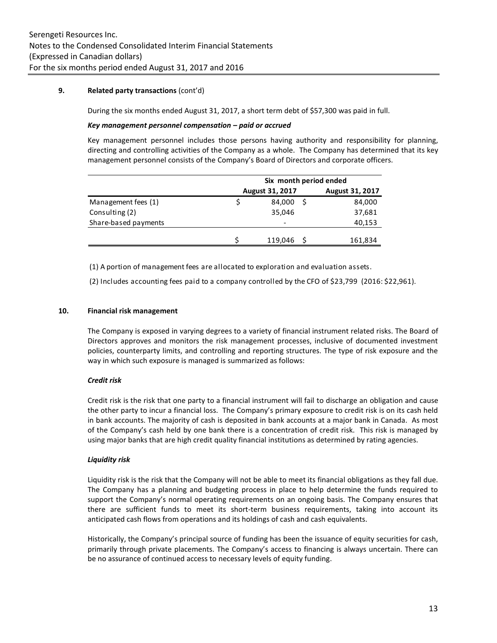# **9. Related party transactions** (cont'd)

During the six months ended August 31, 2017, a short term debt of \$57,300 was paid in full.

### *Key management personnel compensation – paid or accrued*

Key management personnel includes those persons having authority and responsibility for planning, directing and controlling activities of the Company as a whole. The Company has determined that its key management personnel consists of the Company's Board of Directors and corporate officers.

|                      | Six month period ended |                              |  |                        |
|----------------------|------------------------|------------------------------|--|------------------------|
|                      |                        | <b>August 31, 2017</b>       |  | <b>August 31, 2017</b> |
| Management fees (1)  |                        | 84,000                       |  | 84,000                 |
| Consulting (2)       |                        | 35,046                       |  | 37,681                 |
| Share-based payments |                        | $\qquad \qquad \blacksquare$ |  | 40,153                 |
|                      |                        |                              |  |                        |
|                      |                        | 119,046                      |  | 161,834                |

(1) A portion of management fees are allocated to exploration and evaluation assets.

(2) Includes accounting fees paid to a company controlled by the CFO of \$23,799 (2016: \$22,961).

#### **10. Financial risk management**

The Company is exposed in varying degrees to a variety of financial instrument related risks. The Board of Directors approves and monitors the risk management processes, inclusive of documented investment policies, counterparty limits, and controlling and reporting structures. The type of risk exposure and the way in which such exposure is managed is summarized as follows:

# *Credit risk*

Credit risk is the risk that one party to a financial instrument will fail to discharge an obligation and cause the other party to incur a financial loss. The Company's primary exposure to credit risk is on its cash held in bank accounts. The majority of cash is deposited in bank accounts at a major bank in Canada. As most of the Company's cash held by one bank there is a concentration of credit risk. This risk is managed by using major banks that are high credit quality financial institutions as determined by rating agencies.

# *Liquidity risk*

Liquidity risk is the risk that the Company will not be able to meet its financial obligations as they fall due. The Company has a planning and budgeting process in place to help determine the funds required to support the Company's normal operating requirements on an ongoing basis. The Company ensures that there are sufficient funds to meet its short-term business requirements, taking into account its anticipated cash flows from operations and its holdings of cash and cash equivalents.

Historically, the Company's principal source of funding has been the issuance of equity securities for cash, primarily through private placements. The Company's access to financing is always uncertain. There can be no assurance of continued access to necessary levels of equity funding.